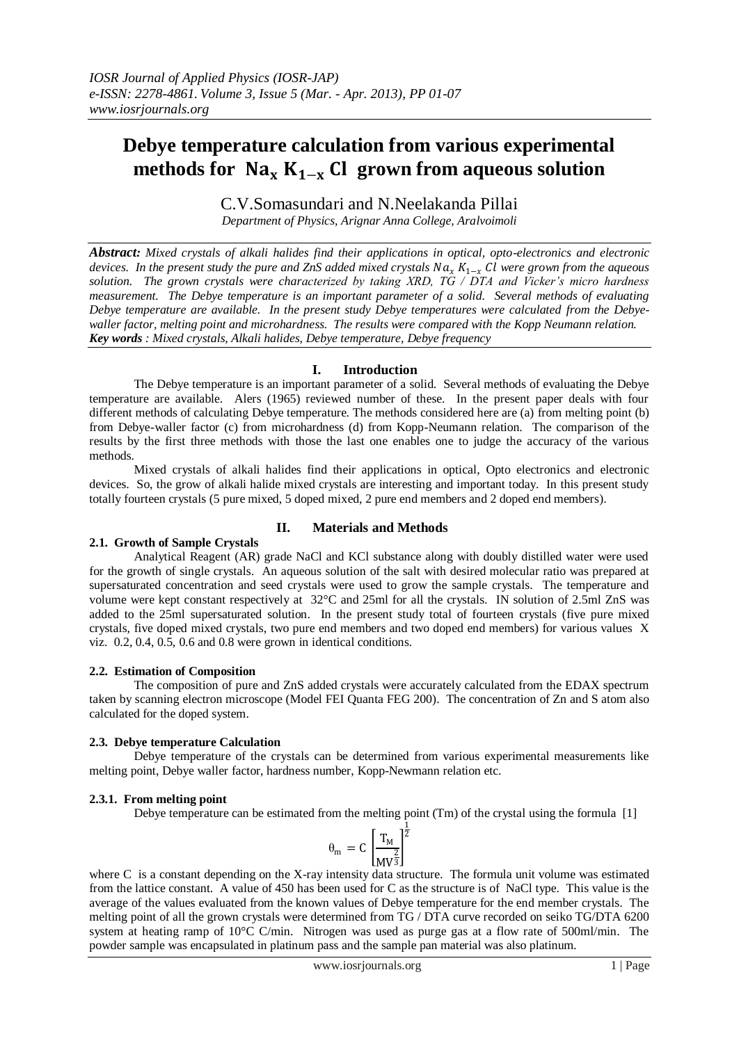# **Debye temperature calculation from various experimental**  methods for  $Na_xK_{1-x}$  Cl grown from aqueous solution

C.V.Somasundari and N.Neelakanda Pillai *Department of Physics, Arignar Anna College, Aralvoimoli*

*Abstract: Mixed crystals of alkali halides find their applications in optical, opto-electronics and electronic devices. In the present study the pure and ZnS added mixed crystals Na<sub>r</sub>*  $K_{1-r}$  *<i>Cl were grown from the aqueous solution. The grown crystals were characterized by taking XRD, TG / DTA and Vicker's micro hardness measurement. The Debye temperature is an important parameter of a solid. Several methods of evaluating Debye temperature are available. In the present study Debye temperatures were calculated from the Debyewaller factor, melting point and microhardness. The results were compared with the Kopp Neumann relation. Key words : Mixed crystals, Alkali halides, Debye temperature, Debye frequency*

### **I. Introduction**

The Debye temperature is an important parameter of a solid. Several methods of evaluating the Debye temperature are available. Alers (1965) reviewed number of these. In the present paper deals with four different methods of calculating Debye temperature. The methods considered here are (a) from melting point (b) from Debye-waller factor (c) from microhardness (d) from Kopp-Neumann relation. The comparison of the results by the first three methods with those the last one enables one to judge the accuracy of the various methods.

Mixed crystals of alkali halides find their applications in optical, Opto electronics and electronic devices. So, the grow of alkali halide mixed crystals are interesting and important today. In this present study totally fourteen crystals (5 pure mixed, 5 doped mixed, 2 pure end members and 2 doped end members).

## **2.1. Growth of Sample Crystals**

## **II. Materials and Methods**

Analytical Reagent (AR) grade NaCl and KCl substance along with doubly distilled water were used for the growth of single crystals. An aqueous solution of the salt with desired molecular ratio was prepared at supersaturated concentration and seed crystals were used to grow the sample crystals. The temperature and volume were kept constant respectively at 32°C and 25ml for all the crystals. IN solution of 2.5ml ZnS was added to the 25ml supersaturated solution. In the present study total of fourteen crystals (five pure mixed crystals, five doped mixed crystals, two pure end members and two doped end members) for various values X viz. 0.2, 0.4, 0.5, 0.6 and 0.8 were grown in identical conditions.

#### **2.2. Estimation of Composition**

The composition of pure and ZnS added crystals were accurately calculated from the EDAX spectrum taken by scanning electron microscope (Model FEI Quanta FEG 200). The concentration of Zn and S atom also calculated for the doped system.

#### **2.3. Debye temperature Calculation**

Debye temperature of the crystals can be determined from various experimental measurements like melting point, Debye waller factor, hardness number, Kopp-Newmann relation etc.

#### **2.3.1. From melting point**

Debye temperature can be estimated from the melting point (Tm) of the crystal using the formula [1]

$$
\theta_m = C \left[ \frac{T_M}{M V^{\frac{2}{3}}} \right]^{\frac{1}{2}}
$$

where C is a constant depending on the X-ray intensity data structure. The formula unit volume was estimated from the lattice constant. A value of 450 has been used for C as the structure is of NaCl type. This value is the average of the values evaluated from the known values of Debye temperature for the end member crystals. The melting point of all the grown crystals were determined from TG / DTA curve recorded on seiko TG/DTA 6200 system at heating ramp of 10°C C/min. Nitrogen was used as purge gas at a flow rate of 500ml/min. The powder sample was encapsulated in platinum pass and the sample pan material was also platinum.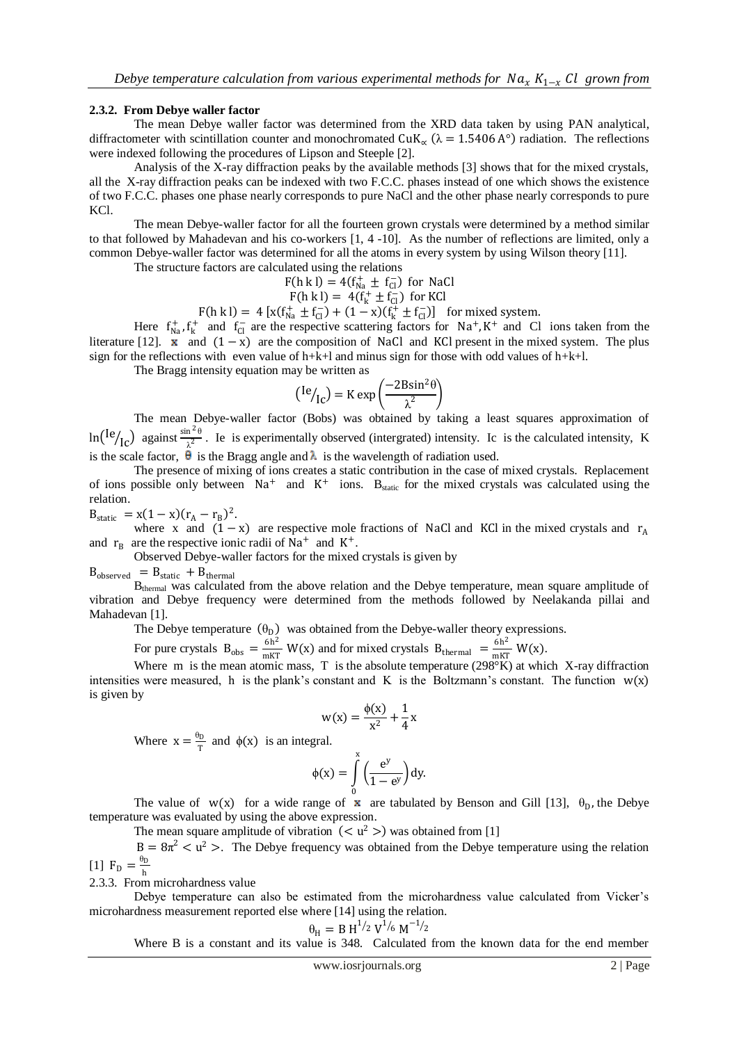#### **2.3.2. From Debye waller factor**

The mean Debye waller factor was determined from the XRD data taken by using PAN analytical, diffractometer with scintillation counter and monochromated  $CuK_{\alpha}$  ( $\lambda = 1.5406$  A°) radiation. The reflections were indexed following the procedures of Lipson and Steeple [2].

Analysis of the X-ray diffraction peaks by the available methods [3] shows that for the mixed crystals, all the X-ray diffraction peaks can be indexed with two F.C.C. phases instead of one which shows the existence of two F.C.C. phases one phase nearly corresponds to pure NaCl and the other phase nearly corresponds to pure KCl.

The mean Debye-waller factor for all the fourteen grown crystals were determined by a method similar to that followed by Mahadevan and his co-workers [1, 4 -10]. As the number of reflections are limited, only a common Debye-waller factor was determined for all the atoms in every system by using Wilson theory [11].

The structure factors are calculated using the relations

$$
F(h \text{ k l}) = 4(f_{\text{Na}}^+ \pm f_{\text{Cl}}^-) \text{ for NaCl}
$$

$$
F(h k I) = 4(f_k^+ \pm f_{Cl}^-) \text{ for KCl}
$$

 $F(h k I) = 4 [x(f_{Na}^+ \pm f_{Cl}^-) + (1 - x)(f_k^+ \pm f_{Cl}^-)]$  for mixed system.

Here  $f_{Na}^+$ ,  $f_k^+$  and  $f_{Cl}^-$  are the respective scattering factors for Na<sup>+</sup>, K<sup>+</sup> and Cl ions taken from the literature [12].  $x$  and  $(1 - x)$  are the composition of NaCl and KCl present in the mixed system. The plus sign for the reflections with even value of h+k+l and minus sign for those with odd values of h+k+l.

The Bragg intensity equation may be written as

$$
({\rm{Ie}}/_{\rm{Ic}}) = \text{K} \exp\left(\frac{-2\text{B}\sin^2\theta}{\lambda^2}\right)
$$

The mean Debye-waller factor (Bobs) was obtained by taking a least squares approximation of  $\ln({\rm ^{1}e}_{\rm ^{1}C})$  against  $\frac{\sin^2\theta}{\lambda^2}$  $\frac{\pi}{\lambda^2}$ . Ie is experimentally observed (intergrated) intensity. Ic is the calculated intensity, K is the scale factor,  $\hat{\theta}$  is the Bragg angle and  $\lambda$  is the wavelength of radiation used.

The presence of mixing of ions creates a static contribution in the case of mixed crystals. Replacement of ions possible only between  $Na^+$  and  $K^+$  ions. B<sub>static</sub> for the mixed crystals was calculated using the relation.

 $B_{\text{static}} = x(1-x)(r_A - r_B)^2.$ 

where x and  $(1 - x)$  are respective mole fractions of NaCl and KCl in the mixed crystals and r<sub>A</sub> and  $r_B$  are the respective ionic radii of Na<sup>+</sup> and K<sup>+</sup>.

Observed Debye-waller factors for the mixed crystals is given by

 $B_{observed} = B_{static} + B_{thermal}$ 

B<sub>thermal</sub> was calculated from the above relation and the Debye temperature, mean square amplitude of vibration and Debye frequency were determined from the methods followed by Neelakanda pillai and Mahadevan [1].

The Debye temperature  $(\theta_D)$  was obtained from the Debye-waller theory expressions.

For pure crystals  $B_{obs} = \frac{6h^2}{mKT}$  $\frac{6h^2}{mKT}$  W(x) and for mixed crystals B<sub>thermal</sub> =  $\frac{6h^2}{mKT}$  $\frac{6H}{mKT}$  W(x).

Where m is the mean atomic mass, T is the absolute temperature  $(298)$ <sup>o</sup>K) at which X-ray diffraction intensities were measured, h is the plank's constant and K is the Boltzmann's constant. The function  $w(x)$ is given by

$$
w(x) = \frac{\phi(x)}{x^2} + \frac{1}{4}x
$$

Where  $x = \frac{\theta_D}{T}$  $\frac{\partial D}{\partial T}$  and  $\phi(x)$  is an integral.

$$
\phi(x) = \int_{0}^{x} \left(\frac{e^{y}}{1 - e^{y}}\right) dy.
$$

The value of w(x) for a wide range of **x** are tabulated by Benson and Gill [13],  $\theta_D$ , the Debye temperature was evaluated by using the above expression.

The mean square amplitude of vibration  $( $u^2 >$ ) was obtained from [1]$ 

 $B = 8\pi^2 < u^2 >$ . The Debye frequency was obtained from the Debye temperature using the relation [1]  $F_D = \frac{\theta_D}{h}$ 

h 2.3.3. From microhardness value

Debye temperature can also be estimated from the microhardness value calculated from Vicker's microhardness measurement reported else where [14] using the relation.

$$
\theta_{\rm H} = B \, {\rm H}^{1/2} \, {\rm V}^{1/6} \, {\rm M}^{-1/2}
$$

Where B is a constant and its value is 348. Calculated from the known data for the end member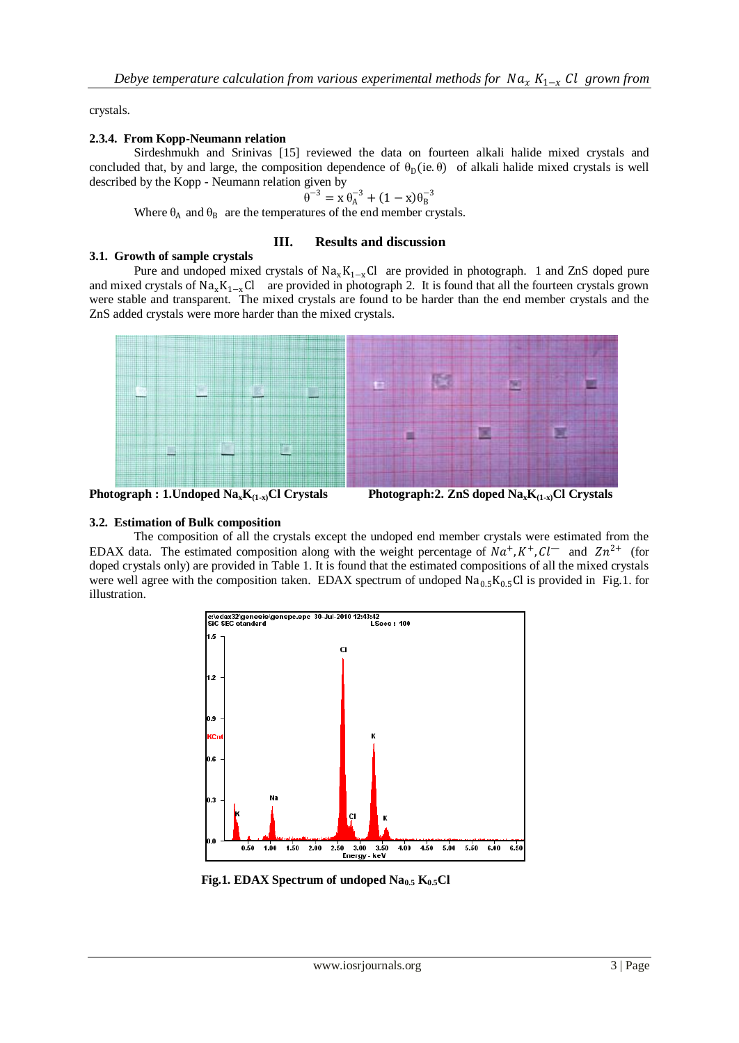crystals.

### **2.3.4. From Kopp-Neumann relation**

Sirdeshmukh and Srinivas [15] reviewed the data on fourteen alkali halide mixed crystals and concluded that, by and large, the composition dependence of  $\theta_D(i\mathbf{e}, \theta)$  of alkali halide mixed crystals is well described by the Kopp - Neumann relation given by

$$
\theta^{-3} = x \theta_A^{-3} + (1 - x)\theta_B^{-3}
$$

Where  $\theta_A$  and  $\theta_B$  are the temperatures of the end member crystals.

#### **III. Results and discussion**

### **3.1. Growth of sample crystals**

Pure and undoped mixed crystals of  $Na_xK_{1-x}Cl$  are provided in photograph. 1 and ZnS doped pure and mixed crystals of  $Na_xK_{1-x}Cl$  are provided in photograph 2. It is found that all the fourteen crystals grown were stable and transparent. The mixed crystals are found to be harder than the end member crystals and the ZnS added crystals were more harder than the mixed crystals.



**Photograph : 1. Undoped**  $\text{Na}_{x}\text{K}_{(1-x)}$ **Cl Crystals** 

**Photograph:2. ZnS doped**  $\text{Na}_x\text{K}_{(1-x)}\text{Cl}$  **Crystals** 

## **3.2. Estimation of Bulk composition**

The composition of all the crystals except the undoped end member crystals were estimated from the EDAX data. The estimated composition along with the weight percentage of  $Na^+, K^+, Cl^-$  and  $Zn^{2+}$  (for doped crystals only) are provided in Table 1. It is found that the estimated compositions of all the mixed crystals were well agree with the composition taken. EDAX spectrum of undoped  $Na<sub>0.5</sub>K<sub>0.5</sub>Cl$  is provided in Fig.1. for illustration.



 **Fig.1. EDAX Spectrum of undoped Na0.5 K0.5Cl**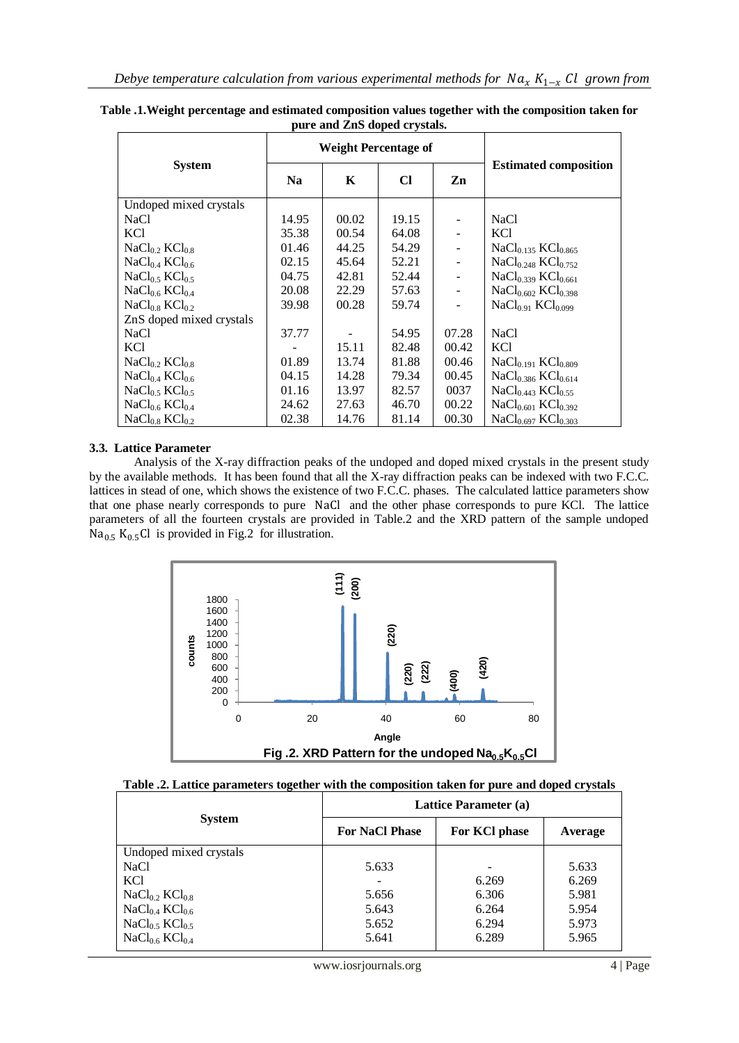|                                        | <b>Weight Percentage of</b> |       |           |       |                                     |  |
|----------------------------------------|-----------------------------|-------|-----------|-------|-------------------------------------|--|
| <b>System</b>                          | <b>Na</b>                   | K     | <b>Cl</b> | Zn    | <b>Estimated composition</b>        |  |
| Undoped mixed crystals                 |                             |       |           |       |                                     |  |
| <b>NaCl</b>                            | 14.95                       | 00.02 | 19.15     |       | NaCl                                |  |
| KC <sub>1</sub>                        | 35.38                       | 00.54 | 64.08     |       | KC1                                 |  |
| NaCl <sub>0.2</sub> KCl <sub>0.8</sub> | 01.46                       | 44.25 | 54.29     |       | $NaCl0.135 KCl0.865$                |  |
| NaCl <sub>0.4</sub> KCl <sub>0.6</sub> | 02.15                       | 45.64 | 52.21     | ÷     | $NaCl_{0.248}$ $KCl_{0.752}$        |  |
| NaCl <sub>0.5</sub> KCl <sub>0.5</sub> | 04.75                       | 42.81 | 52.44     |       | $NaCl0.339 KCl0.661$                |  |
| NaCl <sub>0.6</sub> KCl <sub>0.4</sub> | 20.08                       | 22.29 | 57.63     |       | $NaCl0.602 KCl0.398$                |  |
| NaCl <sub>0.8</sub> KCl <sub>0.2</sub> | 39.98                       | 00.28 | 59.74     |       | $NaCl0.91 KCl0.099$                 |  |
| ZnS doped mixed crystals               |                             |       |           |       |                                     |  |
| <b>NaCl</b>                            | 37.77                       |       | 54.95     | 07.28 | <b>NaCl</b>                         |  |
| KC <sub>1</sub>                        |                             | 15.11 | 82.48     | 00.42 | <b>KCl</b>                          |  |
| $NaCl0$ , $KCl0.8$                     | 01.89                       | 13.74 | 81.88     | 00.46 | $NaCl0.191 KCl0.809$                |  |
| NaCl <sub>0.4</sub> KCl <sub>0.6</sub> | 04.15                       | 14.28 | 79.34     | 00.45 | $NaCl_{0.386}$ KCl <sub>0.614</sub> |  |
| NaCl <sub>0.5</sub> KCl <sub>0.5</sub> | 01.16                       | 13.97 | 82.57     | 0037  | $NaCl0.443 KCl0.55$                 |  |
| NaCl <sub>0.6</sub> KCl <sub>0.4</sub> | 24.62                       | 27.63 | 46.70     | 00.22 | $NaCl0.601 KCl0.392$                |  |
| NaCl <sub>0.8</sub> KCl <sub>0.2</sub> | 02.38                       | 14.76 | 81.14     | 00.30 | $NaCl0.697 KCl0.303$                |  |

**Table .1.Weight percentage and estimated composition values together with the composition taken for pure and ZnS doped crystals.**

#### **3.3. Lattice Parameter**

Analysis of the X-ray diffraction peaks of the undoped and doped mixed crystals in the present study by the available methods. It has been found that all the X-ray diffraction peaks can be indexed with two F.C.C. lattices in stead of one, which shows the existence of two F.C.C. phases. The calculated lattice parameters show that one phase nearly corresponds to pure NaCl and the other phase corresponds to pure KCl. The lattice parameters of all the fourteen crystals are provided in Table.2 and the XRD pattern of the sample undoped  $Na<sub>0.5</sub> K<sub>0.5</sub>Cl$  is provided in Fig.2 for illustration.



|  |  |  | Table .2. Lattice parameters together with the composition taken for pure and doped crystals |  |
|--|--|--|----------------------------------------------------------------------------------------------|--|
|--|--|--|----------------------------------------------------------------------------------------------|--|

|                                        | Lattice Parameter (a) |               |         |  |
|----------------------------------------|-----------------------|---------------|---------|--|
| <b>System</b>                          | <b>For NaCl Phase</b> | For KCl phase | Average |  |
| Undoped mixed crystals                 |                       |               |         |  |
| <b>NaCl</b>                            | 5.633                 |               | 5.633   |  |
| KC <sub>1</sub>                        |                       | 6.269         | 6.269   |  |
| NaCl <sub>0.2</sub> KCl <sub>0.8</sub> | 5.656                 | 6.306         | 5.981   |  |
| NaCl <sub>0.4</sub> KCl <sub>0.6</sub> | 5.643                 | 6.264         | 5.954   |  |
| NaCl <sub>0.5</sub> KCl <sub>0.5</sub> | 5.652                 | 6.294         | 5.973   |  |
| NaCl <sub>0.6</sub> KCl <sub>0.4</sub> | 5.641                 | 6.289         | 5.965   |  |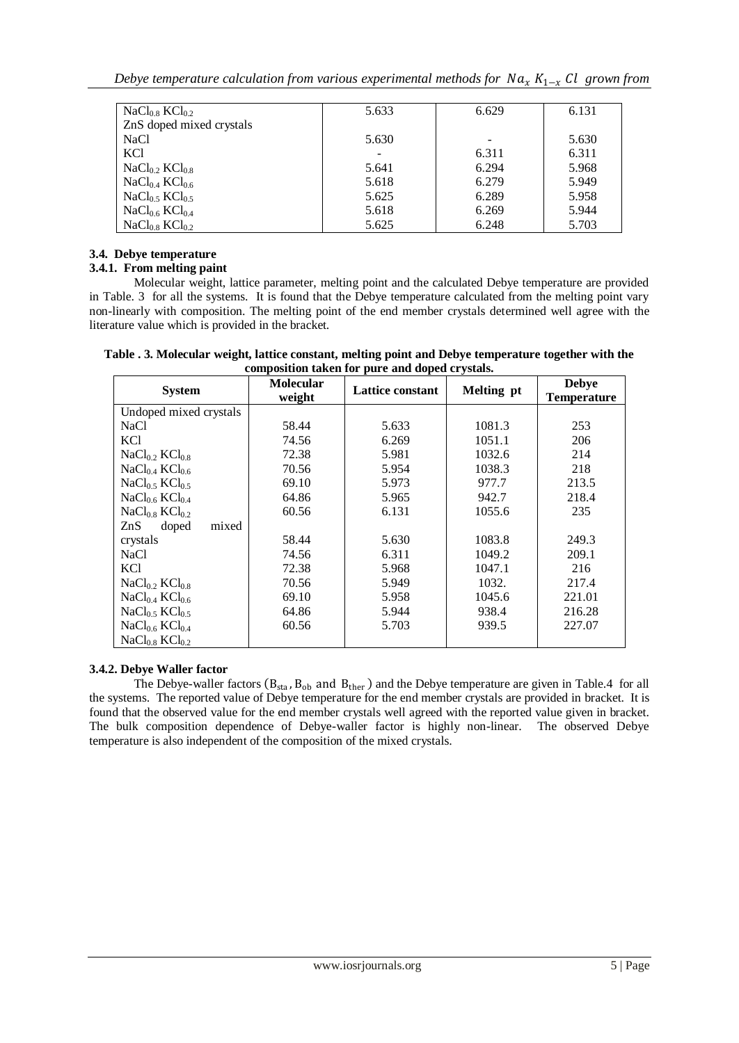| NaCl <sub>0.8</sub> KCl <sub>0.2</sub> | 5.633 | 6.629 | 6.131 |
|----------------------------------------|-------|-------|-------|
| ZnS doped mixed crystals               |       |       |       |
| <b>NaCl</b>                            | 5.630 |       | 5.630 |
| KC <sub>1</sub>                        |       | 6.311 | 6.311 |
| NaCl <sub>0.2</sub> KCl <sub>0.8</sub> | 5.641 | 6.294 | 5.968 |
| NaCl <sub>0.4</sub> KCl <sub>0.6</sub> | 5.618 | 6.279 | 5.949 |
| NaCl <sub>0.5</sub> KCl <sub>0.5</sub> | 5.625 | 6.289 | 5.958 |
| NaCl <sub>0.6</sub> KCl <sub>0.4</sub> | 5.618 | 6.269 | 5.944 |
| NaCl <sub>0.8</sub> KCl <sub>0.2</sub> | 5.625 | 6.248 | 5.703 |

## **3.4. Debye temperature**

## **3.4.1. From melting paint**

Molecular weight, lattice parameter, melting point and the calculated Debye temperature are provided in Table. 3 for all the systems. It is found that the Debye temperature calculated from the melting point vary non-linearly with composition. The melting point of the end member crystals determined well agree with the literature value which is provided in the bracket.

| <b>System</b>                          | <b>Molecular</b><br>weight | composition tanen for part and uopea ergotals.<br><b>Lattice constant</b> | Melting pt | <b>Debye</b><br><b>Temperature</b> |
|----------------------------------------|----------------------------|---------------------------------------------------------------------------|------------|------------------------------------|
| Undoped mixed crystals                 |                            |                                                                           |            |                                    |
| <b>NaCl</b>                            | 58.44                      | 5.633                                                                     | 1081.3     | 253                                |
| KCl                                    | 74.56                      | 6.269                                                                     | 1051.1     | 206                                |
| NaCl <sub>0.2</sub> KCl <sub>0.8</sub> | 72.38                      | 5.981                                                                     | 1032.6     | 214                                |
| NaCl <sub>0.4</sub> KCl <sub>0.6</sub> | 70.56                      | 5.954                                                                     | 1038.3     | 218                                |
| NaCl <sub>0.5</sub> KCl <sub>0.5</sub> | 69.10                      | 5.973                                                                     | 977.7      | 213.5                              |
| NaCl <sub>0.6</sub> KCl <sub>0.4</sub> | 64.86                      | 5.965                                                                     | 942.7      | 218.4                              |
| NaCl <sub>0.8</sub> KCl <sub>0.2</sub> | 60.56                      | 6.131                                                                     | 1055.6     | 235                                |
| ZnS<br>doped<br>mixed                  |                            |                                                                           |            |                                    |
| crystals                               | 58.44                      | 5.630                                                                     | 1083.8     | 249.3                              |
| <b>NaCl</b>                            | 74.56                      | 6.311                                                                     | 1049.2     | 209.1                              |
| KCl                                    | 72.38                      | 5.968                                                                     | 1047.1     | 216                                |
| NaCl <sub>0.2</sub> KCl <sub>0.8</sub> | 70.56                      | 5.949                                                                     | 1032.      | 217.4                              |
| NaCl <sub>0.4</sub> KCl <sub>0.6</sub> | 69.10                      | 5.958                                                                     | 1045.6     | 221.01                             |
| NaCl <sub>0.5</sub> KCl <sub>0.5</sub> | 64.86                      | 5.944                                                                     | 938.4      | 216.28                             |
| NaCl <sub>0.6</sub> KCl <sub>0.4</sub> | 60.56                      | 5.703                                                                     | 939.5      | 227.07                             |
| NaCl <sub>0.8</sub> KCl <sub>0.2</sub> |                            |                                                                           |            |                                    |

**Table . 3. Molecular weight, lattice constant, melting point and Debye temperature together with the composition taken for pure and doped crystals.**

## **3.4.2. Debye Waller factor**

The Debye-waller factors  $(B_{sta}, B_{ob}$  and  $B_{ther}$  and the Debye temperature are given in Table.4 for all the systems. The reported value of Debye temperature for the end member crystals are provided in bracket. It is found that the observed value for the end member crystals well agreed with the reported value given in bracket. The bulk composition dependence of Debye-waller factor is highly non-linear. The observed Debye temperature is also independent of the composition of the mixed crystals.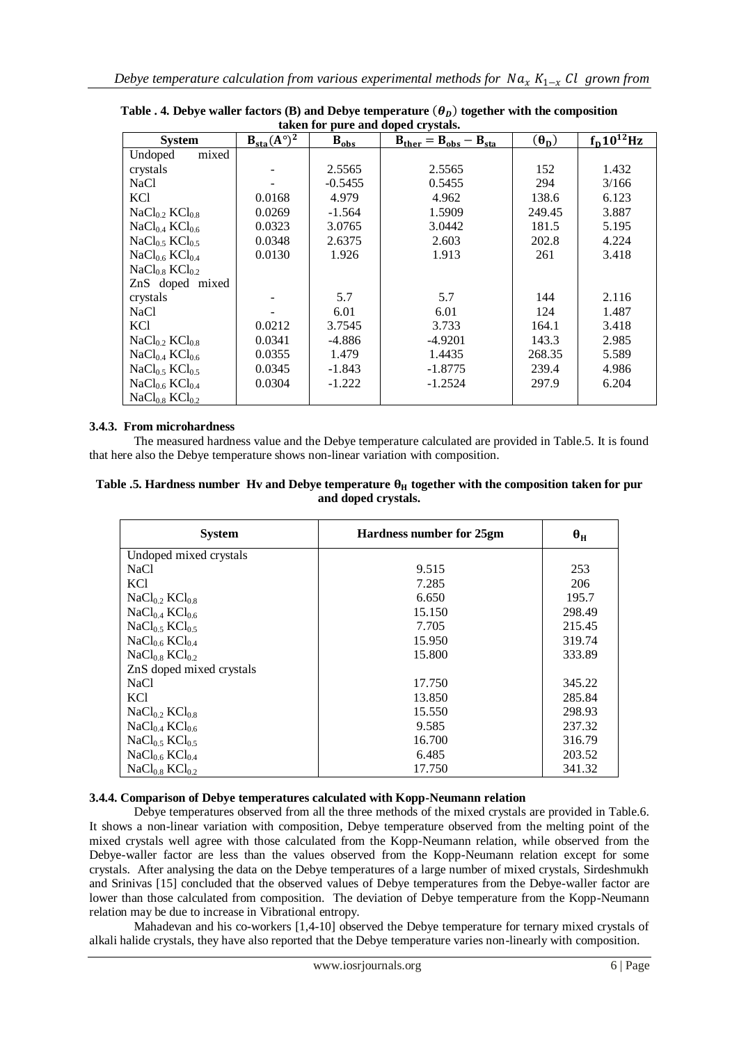| taken for pure and doped crystals.     |                        |           |                                |                           |                       |
|----------------------------------------|------------------------|-----------|--------------------------------|---------------------------|-----------------------|
| <b>System</b>                          | $B_{sta}(A^{\circ})^2$ | $B_{obs}$ | $B_{ther} = B_{obs} - B_{sta}$ | $(\boldsymbol{\theta_D})$ | $f_{\rm D}10^{12}$ Hz |
| mixed<br>Undoped                       |                        |           |                                |                           |                       |
| crystals                               |                        | 2.5565    | 2.5565                         | 152                       | 1.432                 |
| <b>NaCl</b>                            |                        | $-0.5455$ | 0.5455                         | 294                       | 3/166                 |
| KCl                                    | 0.0168                 | 4.979     | 4.962                          | 138.6                     | 6.123                 |
| $NaCl0$ $\chi$ KCl <sub>0</sub> $\chi$ | 0.0269                 | $-1.564$  | 1.5909                         | 249.45                    | 3.887                 |
| NaCl <sub>0.4</sub> KCl <sub>0.6</sub> | 0.0323                 | 3.0765    | 3.0442                         | 181.5                     | 5.195                 |
| NaCl <sub>0.5</sub> KCl <sub>0.5</sub> | 0.0348                 | 2.6375    | 2.603                          | 202.8                     | 4.224                 |
| NaCl <sub>0.6</sub> KCl <sub>0.4</sub> | 0.0130                 | 1.926     | 1.913                          | 261                       | 3.418                 |
| NaCl <sub>0.8</sub> KCl <sub>0.2</sub> |                        |           |                                |                           |                       |
| ZnS doped mixed                        |                        |           |                                |                           |                       |
| crystals                               |                        | 5.7       | 5.7                            | 144                       | 2.116                 |
| NaCl                                   |                        | 6.01      | 6.01                           | 124                       | 1.487                 |
| KCl                                    | 0.0212                 | 3.7545    | 3.733                          | 164.1                     | 3.418                 |
| NaCl <sub>0.2</sub> KCl <sub>0.8</sub> | 0.0341                 | -4.886    | $-4.9201$                      | 143.3                     | 2.985                 |
| NaCl <sub>0.4</sub> KCl <sub>0.6</sub> | 0.0355                 | 1.479     | 1.4435                         | 268.35                    | 5.589                 |
| NaCl <sub>0.5</sub> KCl <sub>0.5</sub> | 0.0345                 | $-1.843$  | $-1.8775$                      | 239.4                     | 4.986                 |
| NaCl <sub>0.6</sub> KCl <sub>0.4</sub> | 0.0304                 | -1.222    | $-1.2524$                      | 297.9                     | 6.204                 |
| NaCl <sub>0.8</sub> KCl <sub>0.2</sub> |                        |           |                                |                           |                       |

Table  $.$  4. Debye waller factors (B) and Debye temperature  $(\boldsymbol{\theta}_D)$  together with the composition **taken for pure and doped crystals.**

### **3.4.3. From microhardness**

The measured hardness value and the Debye temperature calculated are provided in Table.5. It is found that here also the Debye temperature shows non-linear variation with composition.

| Table .5. Hardness number Hy and Debye temperature $\theta_H$ together with the composition taken for pur |
|-----------------------------------------------------------------------------------------------------------|
| and doped crystals.                                                                                       |

| <b>System</b>                          | Hardness number for 25gm | $\theta_H$ |
|----------------------------------------|--------------------------|------------|
| Undoped mixed crystals                 |                          |            |
| <b>NaCl</b>                            | 9.515                    | 253        |
| <b>KCI</b>                             | 7.285                    | 206        |
| NaCl <sub>0.2</sub> KCl <sub>0.8</sub> | 6.650                    | 195.7      |
| NaCl <sub>0.4</sub> KCl <sub>0.6</sub> | 15.150                   | 298.49     |
| $NaCl0$ s $KCl0$ s                     | 7.705                    | 215.45     |
| NaCl <sub>0.6</sub> KCl <sub>0.4</sub> | 15.950                   | 319.74     |
| NaCl <sub>0.8</sub> KCl <sub>0.2</sub> | 15.800                   | 333.89     |
| ZnS doped mixed crystals               |                          |            |
| <b>NaCl</b>                            | 17.750                   | 345.22     |
| KCl                                    | 13.850                   | 285.84     |
| NaCl <sub>0.2</sub> KCl <sub>0.8</sub> | 15.550                   | 298.93     |
| NaCl <sub>0.4</sub> KCl <sub>0.6</sub> | 9.585                    | 237.32     |
| NaCl <sub>0.5</sub> KCl <sub>0.5</sub> | 16.700                   | 316.79     |
| NaCl <sub>0.6</sub> KCl <sub>0.4</sub> | 6.485                    | 203.52     |
| NaCl <sub>0.8</sub> KCl <sub>0.2</sub> | 17.750                   | 341.32     |

#### **3.4.4. Comparison of Debye temperatures calculated with Kopp-Neumann relation**

Debye temperatures observed from all the three methods of the mixed crystals are provided in Table.6. It shows a non-linear variation with composition, Debye temperature observed from the melting point of the mixed crystals well agree with those calculated from the Kopp-Neumann relation, while observed from the Debye-waller factor are less than the values observed from the Kopp-Neumann relation except for some crystals. After analysing the data on the Debye temperatures of a large number of mixed crystals, Sirdeshmukh and Srinivas [15] concluded that the observed values of Debye temperatures from the Debye-waller factor are lower than those calculated from composition. The deviation of Debye temperature from the Kopp-Neumann relation may be due to increase in Vibrational entropy.

Mahadevan and his co-workers [1,4-10] observed the Debye temperature for ternary mixed crystals of alkali halide crystals, they have also reported that the Debye temperature varies non-linearly with composition.